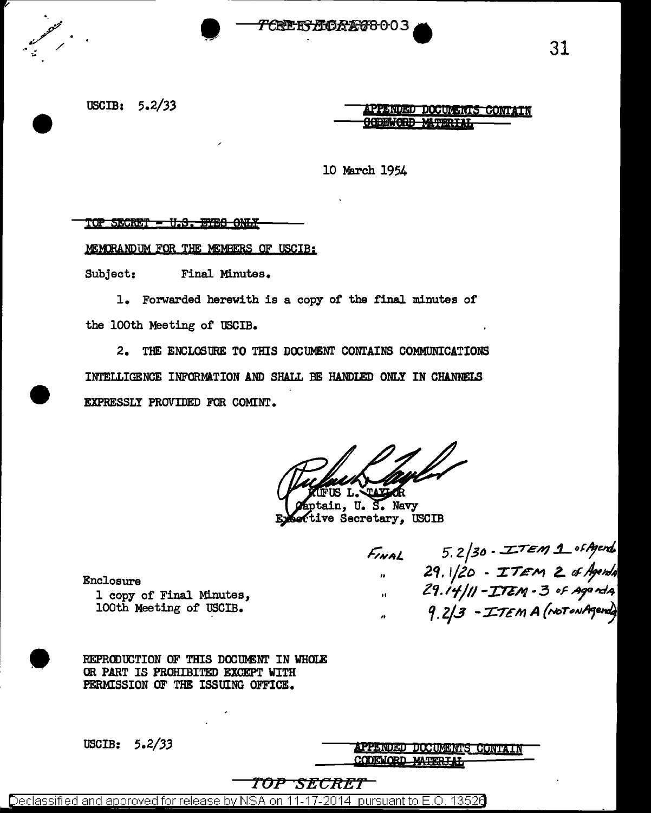

### USCIB:  $5.2/33$

APPENDED DOCUMENTS CONT

10 March 1954

#### <u> TOP SECRET - U.S. EYES ONLY</u>

MEMORANDUM FOR THE MEMBERS OF USCIB:

Subject: Final Minutes.

1. Forwarded herewith is a copy of the final minutes of the 100th Meeting of USCIB.

2. THE ENCLOSURE TO THIS DOCUMENT CONTAINS COMMUNICATIONS INTELLIGENCE INFORMATION AND SHALL BE HANDLED ONLY IN CHANNELS EXPRESSLY PROVIDED FOR COMINT.

Т.,

tain, U.S. Navy tive Secretary, USCIB

Final 5.2/30 - ITEM 1 of Agents<br>29.1/20 - ITEM 2 of Agents<br>29.14/11 - ITEM - 3 of Agents<br>29.2/3 - ITEM A (Not on Agents)

Enclosure 1 copy of Final Minutes, 100th Meeting of USCIB.

REPRODUCTION OF THIS DOCUMENT IN WHOLE OR PART IS PROHIBITED EXCEPT WITH PERMISSION OF THE ISSUING OFFICE.

USCIB:  $5.2/33$ 

APPENDED DOCUMENTS CONTAIN CODEMORD MAT

TOP SECRET

Declassified and approved for release by NSA on 11-17-2014 pursuant to E.O. 13526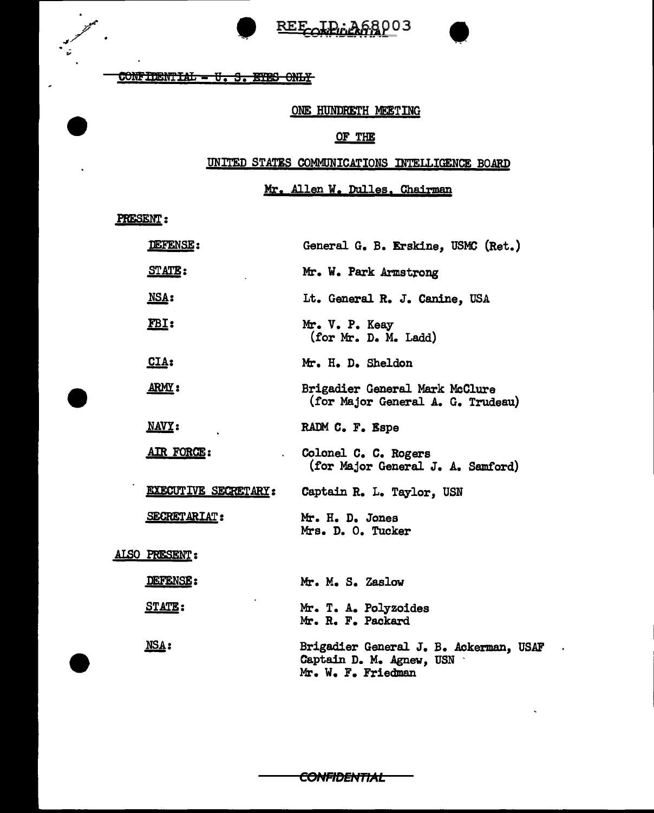REE DE PAGB003



CONFIDENTIAL - U.S. EYES ONLY

## ONE HUNDRETH MEETING

## OF THE

## UNITED STATES COMMUNICATIONS INTELLIGENCE BO.ARD

# Mr• Allen w. Dulles. Chairman

PRESENT:

|  | DEFENSE:                    | General G. B. Erskine, USMC (Ret.)                                                       |
|--|-----------------------------|------------------------------------------------------------------------------------------|
|  | <b>STATE:</b>               | Mr. W. Park Armstrong                                                                    |
|  | NSA:                        | Lt. General R. J. Canine, USA                                                            |
|  | $r_{BL}$ :                  | Mr. V. P. Keay<br>(for Mr. D. M. Ladd)                                                   |
|  | <u>CIA:</u>                 | Mr. H. D. Sheldon                                                                        |
|  | <u>ARMY</u> :               | Brigadier General Mark McClure<br>(for Major General A. G. Trudeau)                      |
|  | NAVY:                       | RADM C. F. Espe                                                                          |
|  | AIR FORCE:                  | Colonel C. C. Rogers<br>(for Major General J. A. Samford)                                |
|  | <b>EXECUTIVE SECRETARY:</b> | Captain R. L. Taylor, USN                                                                |
|  | <b>SECRETARIAT:</b>         | Mr. H. D. Jones<br>Mrs. D. O. Tucker                                                     |
|  | ALSO PRESENT:               |                                                                                          |
|  | DEFENSE:                    | Mr. M. S. Zaslow                                                                         |
|  | <b>STATE:</b>               | Mr. T. A. Polyzoides<br>Mr. R. F. Packard                                                |
|  | $MSA$ :                     | Brigadier General J. B. Ackerman, USAF<br>Captain D. M. Agnew, USN<br>Mr. W. F. Friedman |

**CONFIDENTIAL**